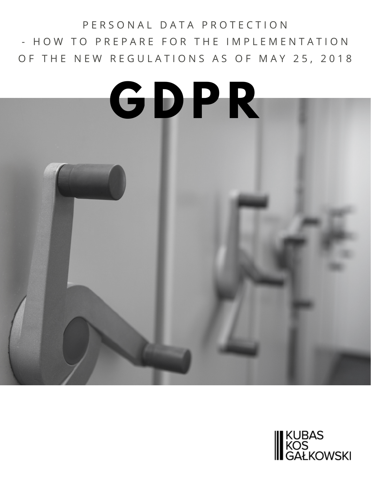### P E R S O N A L D A T A P R O T E C T I O N - HOW TO PREPARE FOR THE IMPLEMENTATION OF THE NEW REGULATIONS AS OF MAY 25, 2018

# **G D P R**

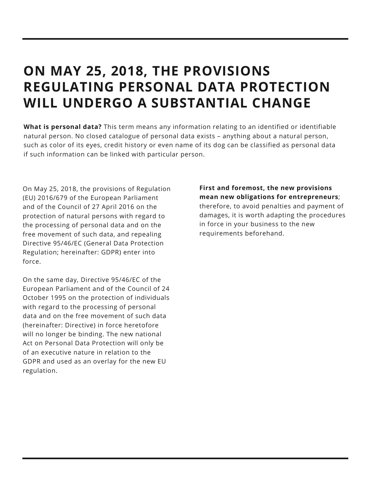## **ON MAY 25, 2018, THE PROVISIONS REGULATING PERSONAL DATA PROTECTION WILL UNDERGO A SUBSTANTIAL CHANGE**

**What is personal data?** This term means any information relating to an identified or identifiable natural person. No closed catalogue of personal data exists – anything about a natural person, such as color of its eyes, credit history or even name of its dog can be classified as personal data if such information can be linked with particular person.

On May 25, 2018, the provisions of Regulation (EU) 2016/679 of the European Parliament and of the Council of 27 April 2016 on the protection of natural persons with regard to the processing of personal data and on the free movement of such data, and repealing Directive 95/46/EC (General Data Protection Regulation; hereinafter: GDPR) enter into force.

On the same day, Directive 95/46/EC of the European Parliament and of the Council of 24 October 1995 on the protection of individuals with regard to the processing of personal data and on the free movement of such data (hereinafter: Directive) in force heretofore will no longer be binding. The new national Act on Personal Data Protection will only be of an executive nature in relation to the GDPR and used as an overlay for the new EU regulation.

**First and foremost, the new provisions mean new obligations for entrepreneurs**; therefore, to avoid penalties and payment of damages, it is worth adapting the procedures in force in your business to the new requirements beforehand.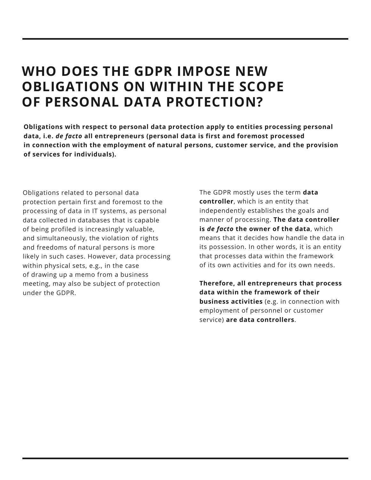### **WHO DOES THE GDPR IMPOSE NEW OBLIGATIONS ON WITHIN THE SCOPE OF PERSONAL DATA PROTECTION?**

**Obligations with respect to personal data protection apply to entities processing personal data, i.e.** *de facto* **all entrepreneurs (personal data is first and foremost processed in connection with the employment of natural persons, customer service, and the provision of services for individuals).**

Obligations related to personal data protection pertain first and foremost to the processing of data in IT systems, as personal data collected in databases that is capable of being profiled is increasingly valuable, and simultaneously, the violation of rights and freedoms of natural persons is more likely in such cases. However, data processing within physical sets, e.g., in the case of drawing up a memo from a business meeting, may also be subject of protection under the GDPR.

The GDPR mostly uses the term **data controller**, which is an entity that independently establishes the goals and manner of processing. **The data controller is** *de facto* **the owner of the data**, which means that it decides how handle the data in its possession. In other words, it is an entity that processes data within the framework of its own activities and for its own needs.

**Therefore, all entrepreneurs that process data within the framework of their business activities** (e.g. in connection with employment of personnel or customer service) **are data controllers**.